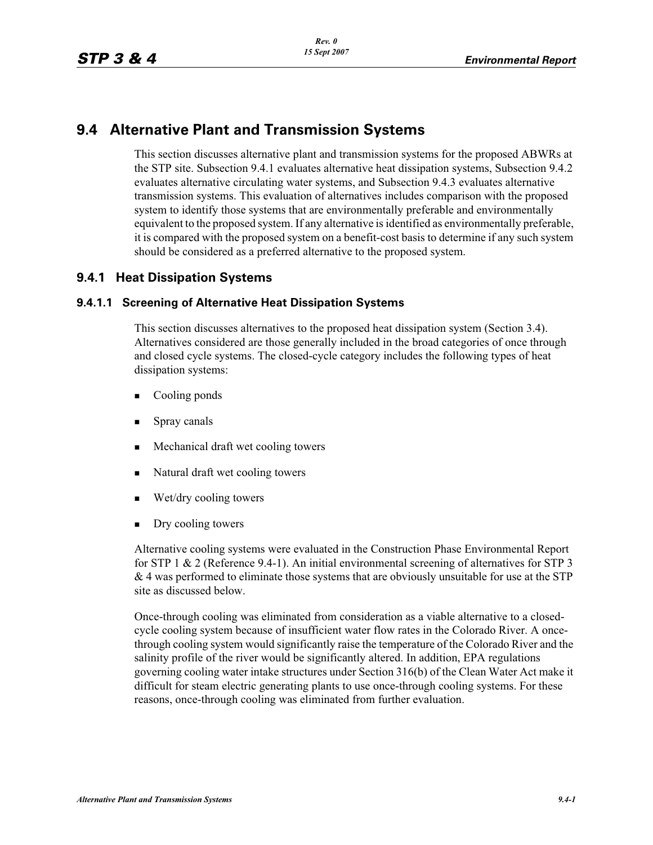### **9.4 Alternative Plant and Transmission Systems**

This section discusses alternative plant and transmission systems for the proposed ABWRs at the STP site. Subsection 9.4.1 evaluates alternative heat dissipation systems, Subsection 9.4.2 evaluates alternative circulating water systems, and Subsection 9.4.3 evaluates alternative transmission systems. This evaluation of alternatives includes comparison with the proposed system to identify those systems that are environmentally preferable and environmentally equivalent to the proposed system. If any alternative is identified as environmentally preferable, it is compared with the proposed system on a benefit-cost basis to determine if any such system should be considered as a preferred alternative to the proposed system.

### **9.4.1 Heat Dissipation Systems**

### **9.4.1.1 Screening of Alternative Heat Dissipation Systems**

This section discusses alternatives to the proposed heat dissipation system (Section 3.4). Alternatives considered are those generally included in the broad categories of once through and closed cycle systems. The closed-cycle category includes the following types of heat dissipation systems:

- -Cooling ponds
- -Spray canals
- -Mechanical draft wet cooling towers
- -Natural draft wet cooling towers
- -Wet/dry cooling towers
- -Dry cooling towers

Alternative cooling systems were evaluated in the Construction Phase Environmental Report for STP 1 & 2 (Reference 9.4-1). An initial environmental screening of alternatives for STP 3  $& 4$  was performed to eliminate those systems that are obviously unsuitable for use at the STP site as discussed below.

Once-through cooling was eliminated from consideration as a viable alternative to a closedcycle cooling system because of insufficient water flow rates in the Colorado River. A oncethrough cooling system would significantly raise the temperature of the Colorado River and the salinity profile of the river would be significantly altered. In addition, EPA regulations governing cooling water intake structures under Section 316(b) of the Clean Water Act make it difficult for steam electric generating plants to use once-through cooling systems. For these reasons, once-through cooling was eliminated from further evaluation.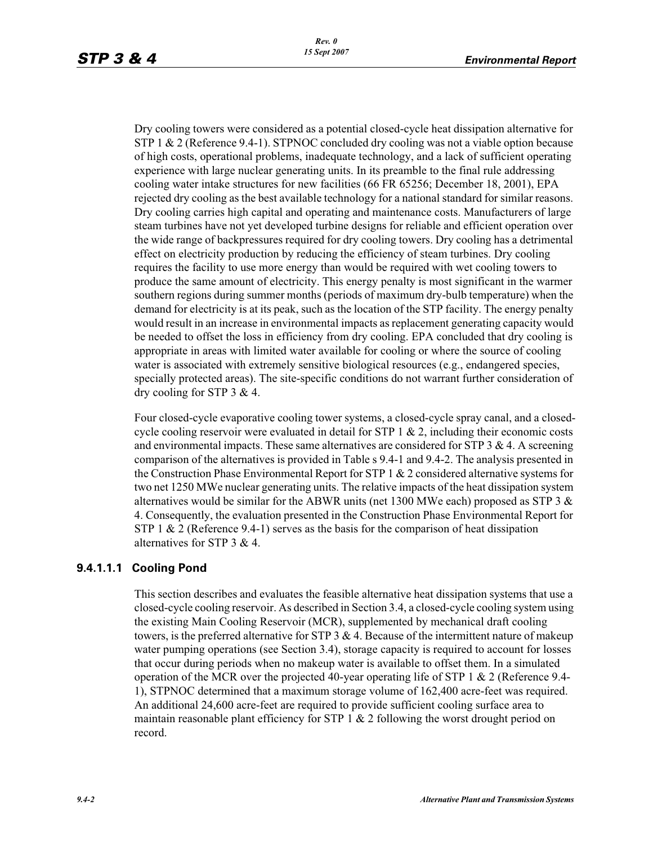Dry cooling towers were considered as a potential closed-cycle heat dissipation alternative for STP 1 & 2 (Reference 9.4-1). STPNOC concluded dry cooling was not a viable option because of high costs, operational problems, inadequate technology, and a lack of sufficient operating experience with large nuclear generating units. In its preamble to the final rule addressing cooling water intake structures for new facilities (66 FR 65256; December 18, 2001), EPA rejected dry cooling as the best available technology for a national standard for similar reasons. Dry cooling carries high capital and operating and maintenance costs. Manufacturers of large steam turbines have not yet developed turbine designs for reliable and efficient operation over the wide range of backpressures required for dry cooling towers. Dry cooling has a detrimental effect on electricity production by reducing the efficiency of steam turbines. Dry cooling requires the facility to use more energy than would be required with wet cooling towers to produce the same amount of electricity. This energy penalty is most significant in the warmer southern regions during summer months (periods of maximum dry-bulb temperature) when the demand for electricity is at its peak, such as the location of the STP facility. The energy penalty would result in an increase in environmental impacts as replacement generating capacity would be needed to offset the loss in efficiency from dry cooling. EPA concluded that dry cooling is appropriate in areas with limited water available for cooling or where the source of cooling water is associated with extremely sensitive biological resources (e.g., endangered species, specially protected areas). The site-specific conditions do not warrant further consideration of dry cooling for STP 3 & 4.

Four closed-cycle evaporative cooling tower systems, a closed-cycle spray canal, and a closedcycle cooling reservoir were evaluated in detail for  $STP_1 \& 2$ , including their economic costs and environmental impacts. These same alternatives are considered for  $STP$  3 & 4. A screening comparison of the alternatives is provided in Table s 9.4-1 and 9.4-2. The analysis presented in the Construction Phase Environmental Report for STP 1 & 2 considered alternative systems for two net 1250 MWe nuclear generating units. The relative impacts of the heat dissipation system alternatives would be similar for the ABWR units (net 1300 MWe each) proposed as STP 3  $\&$ 4. Consequently, the evaluation presented in the Construction Phase Environmental Report for STP 1  $\&$  2 (Reference 9.4-1) serves as the basis for the comparison of heat dissipation alternatives for STP 3 & 4.

### **9.4.1.1.1 Cooling Pond**

This section describes and evaluates the feasible alternative heat dissipation systems that use a closed-cycle cooling reservoir. As described in Section 3.4, a closed-cycle cooling system using the existing Main Cooling Reservoir (MCR), supplemented by mechanical draft cooling towers, is the preferred alternative for STP 3  $\&$  4. Because of the intermittent nature of makeup water pumping operations (see Section 3.4), storage capacity is required to account for losses that occur during periods when no makeup water is available to offset them. In a simulated operation of the MCR over the projected 40-year operating life of STP 1 & 2 (Reference 9.4- 1), STPNOC determined that a maximum storage volume of 162,400 acre-feet was required. An additional 24,600 acre-feet are required to provide sufficient cooling surface area to maintain reasonable plant efficiency for STP  $1 \& 2$  following the worst drought period on record.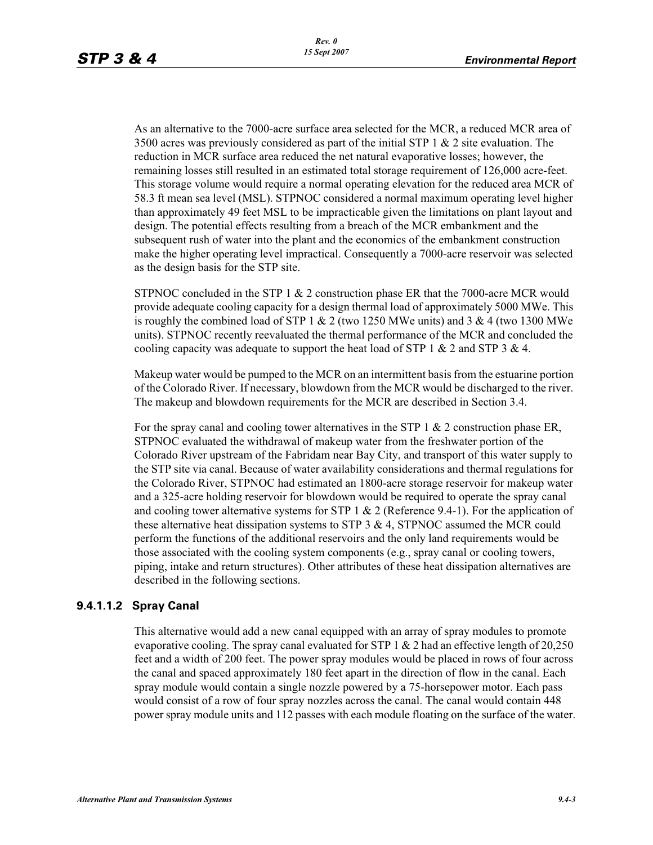As an alternative to the 7000-acre surface area selected for the MCR, a reduced MCR area of 3500 acres was previously considered as part of the initial STP 1  $\&$  2 site evaluation. The reduction in MCR surface area reduced the net natural evaporative losses; however, the remaining losses still resulted in an estimated total storage requirement of 126,000 acre-feet. This storage volume would require a normal operating elevation for the reduced area MCR of 58.3 ft mean sea level (MSL). STPNOC considered a normal maximum operating level higher than approximately 49 feet MSL to be impracticable given the limitations on plant layout and design. The potential effects resulting from a breach of the MCR embankment and the subsequent rush of water into the plant and the economics of the embankment construction make the higher operating level impractical. Consequently a 7000-acre reservoir was selected as the design basis for the STP site.

STPNOC concluded in the STP 1 & 2 construction phase ER that the 7000-acre MCR would provide adequate cooling capacity for a design thermal load of approximately 5000 MWe. This is roughly the combined load of STP 1 & 2 (two 1250 MWe units) and 3 & 4 (two 1300 MWe units). STPNOC recently reevaluated the thermal performance of the MCR and concluded the cooling capacity was adequate to support the heat load of STP 1  $\&$  2 and STP 3  $\&$  4.

Makeup water would be pumped to the MCR on an intermittent basis from the estuarine portion of the Colorado River. If necessary, blowdown from the MCR would be discharged to the river. The makeup and blowdown requirements for the MCR are described in Section 3.4.

For the spray canal and cooling tower alternatives in the STP 1  $\&$  2 construction phase ER, STPNOC evaluated the withdrawal of makeup water from the freshwater portion of the Colorado River upstream of the Fabridam near Bay City, and transport of this water supply to the STP site via canal. Because of water availability considerations and thermal regulations for the Colorado River, STPNOC had estimated an 1800-acre storage reservoir for makeup water and a 325-acre holding reservoir for blowdown would be required to operate the spray canal and cooling tower alternative systems for STP  $1 \& 2$  (Reference 9.4-1). For the application of these alternative heat dissipation systems to STP  $3 \& 4$ , STPNOC assumed the MCR could perform the functions of the additional reservoirs and the only land requirements would be those associated with the cooling system components (e.g., spray canal or cooling towers, piping, intake and return structures). Other attributes of these heat dissipation alternatives are described in the following sections.

### **9.4.1.1.2 Spray Canal**

This alternative would add a new canal equipped with an array of spray modules to promote evaporative cooling. The spray canal evaluated for STP 1  $\&$  2 had an effective length of 20,250 feet and a width of 200 feet. The power spray modules would be placed in rows of four across the canal and spaced approximately 180 feet apart in the direction of flow in the canal. Each spray module would contain a single nozzle powered by a 75-horsepower motor. Each pass would consist of a row of four spray nozzles across the canal. The canal would contain 448 power spray module units and 112 passes with each module floating on the surface of the water.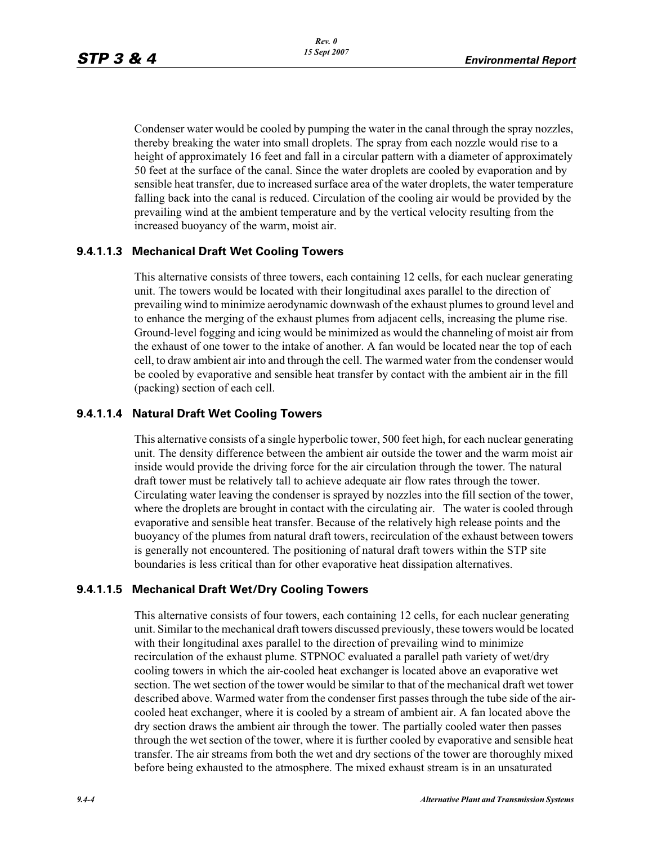Condenser water would be cooled by pumping the water in the canal through the spray nozzles, thereby breaking the water into small droplets. The spray from each nozzle would rise to a height of approximately 16 feet and fall in a circular pattern with a diameter of approximately 50 feet at the surface of the canal. Since the water droplets are cooled by evaporation and by sensible heat transfer, due to increased surface area of the water droplets, the water temperature falling back into the canal is reduced. Circulation of the cooling air would be provided by the prevailing wind at the ambient temperature and by the vertical velocity resulting from the increased buoyancy of the warm, moist air.

### **9.4.1.1.3 Mechanical Draft Wet Cooling Towers**

This alternative consists of three towers, each containing 12 cells, for each nuclear generating unit. The towers would be located with their longitudinal axes parallel to the direction of prevailing wind to minimize aerodynamic downwash of the exhaust plumes to ground level and to enhance the merging of the exhaust plumes from adjacent cells, increasing the plume rise. Ground-level fogging and icing would be minimized as would the channeling of moist air from the exhaust of one tower to the intake of another. A fan would be located near the top of each cell, to draw ambient air into and through the cell. The warmed water from the condenser would be cooled by evaporative and sensible heat transfer by contact with the ambient air in the fill (packing) section of each cell.

### **9.4.1.1.4 Natural Draft Wet Cooling Towers**

This alternative consists of a single hyperbolic tower, 500 feet high, for each nuclear generating unit. The density difference between the ambient air outside the tower and the warm moist air inside would provide the driving force for the air circulation through the tower. The natural draft tower must be relatively tall to achieve adequate air flow rates through the tower. Circulating water leaving the condenser is sprayed by nozzles into the fill section of the tower, where the droplets are brought in contact with the circulating air. The water is cooled through evaporative and sensible heat transfer. Because of the relatively high release points and the buoyancy of the plumes from natural draft towers, recirculation of the exhaust between towers is generally not encountered. The positioning of natural draft towers within the STP site boundaries is less critical than for other evaporative heat dissipation alternatives.

### **9.4.1.1.5 Mechanical Draft Wet/Dry Cooling Towers**

This alternative consists of four towers, each containing 12 cells, for each nuclear generating unit. Similar to the mechanical draft towers discussed previously, these towers would be located with their longitudinal axes parallel to the direction of prevailing wind to minimize recirculation of the exhaust plume. STPNOC evaluated a parallel path variety of wet/dry cooling towers in which the air-cooled heat exchanger is located above an evaporative wet section. The wet section of the tower would be similar to that of the mechanical draft wet tower described above. Warmed water from the condenser first passes through the tube side of the aircooled heat exchanger, where it is cooled by a stream of ambient air. A fan located above the dry section draws the ambient air through the tower. The partially cooled water then passes through the wet section of the tower, where it is further cooled by evaporative and sensible heat transfer. The air streams from both the wet and dry sections of the tower are thoroughly mixed before being exhausted to the atmosphere. The mixed exhaust stream is in an unsaturated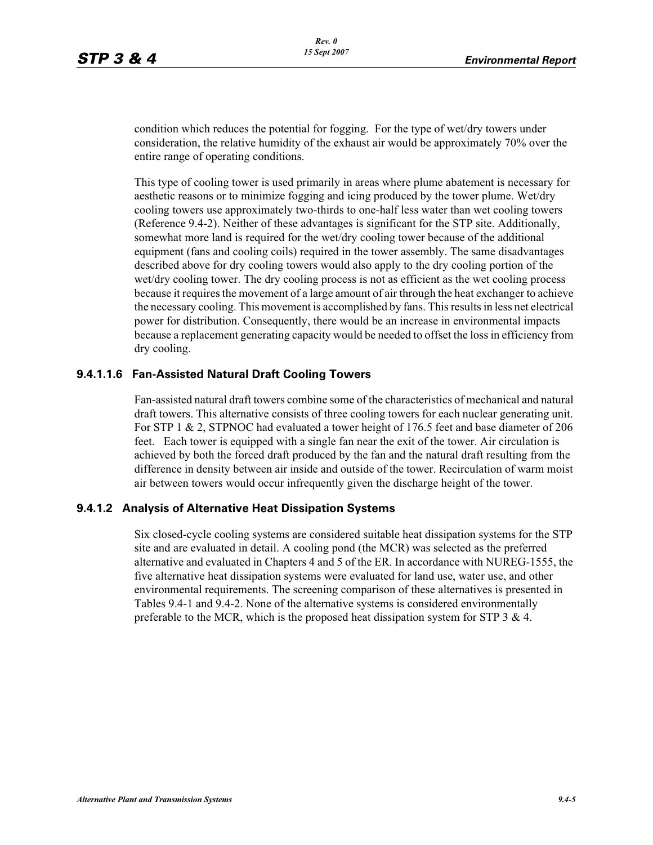condition which reduces the potential for fogging. For the type of wet/dry towers under consideration, the relative humidity of the exhaust air would be approximately 70% over the entire range of operating conditions.

This type of cooling tower is used primarily in areas where plume abatement is necessary for aesthetic reasons or to minimize fogging and icing produced by the tower plume. Wet/dry cooling towers use approximately two-thirds to one-half less water than wet cooling towers (Reference 9.4-2). Neither of these advantages is significant for the STP site. Additionally, somewhat more land is required for the wet/dry cooling tower because of the additional equipment (fans and cooling coils) required in the tower assembly. The same disadvantages described above for dry cooling towers would also apply to the dry cooling portion of the wet/dry cooling tower. The dry cooling process is not as efficient as the wet cooling process because it requires the movement of a large amount of air through the heat exchanger to achieve the necessary cooling. This movement is accomplished by fans. This results in less net electrical power for distribution. Consequently, there would be an increase in environmental impacts because a replacement generating capacity would be needed to offset the loss in efficiency from dry cooling.

### **9.4.1.1.6 Fan-Assisted Natural Draft Cooling Towers**

Fan-assisted natural draft towers combine some of the characteristics of mechanical and natural draft towers. This alternative consists of three cooling towers for each nuclear generating unit. For STP 1 & 2, STPNOC had evaluated a tower height of 176.5 feet and base diameter of 206 feet. Each tower is equipped with a single fan near the exit of the tower. Air circulation is achieved by both the forced draft produced by the fan and the natural draft resulting from the difference in density between air inside and outside of the tower. Recirculation of warm moist air between towers would occur infrequently given the discharge height of the tower.

### **9.4.1.2 Analysis of Alternative Heat Dissipation Systems**

Six closed-cycle cooling systems are considered suitable heat dissipation systems for the STP site and are evaluated in detail. A cooling pond (the MCR) was selected as the preferred alternative and evaluated in Chapters 4 and 5 of the ER. In accordance with NUREG-1555, the five alternative heat dissipation systems were evaluated for land use, water use, and other environmental requirements. The screening comparison of these alternatives is presented in Tables 9.4-1 and 9.4-2. None of the alternative systems is considered environmentally preferable to the MCR, which is the proposed heat dissipation system for STP 3  $\&$  4.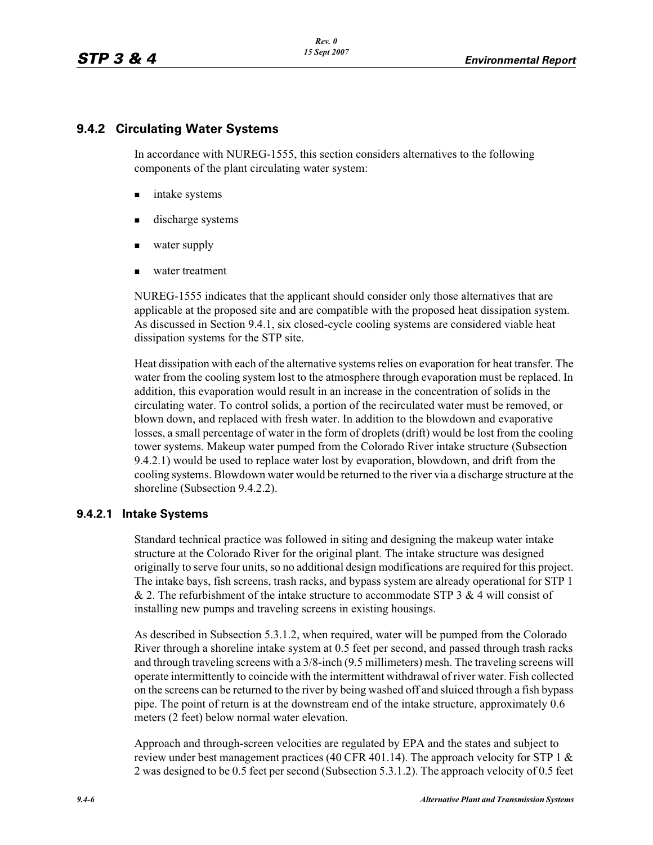### **9.4.2 Circulating Water Systems**

In accordance with NUREG-1555, this section considers alternatives to the following components of the plant circulating water system:

- intake systems
- discharge systems
- water supply
- water treatment

NUREG-1555 indicates that the applicant should consider only those alternatives that are applicable at the proposed site and are compatible with the proposed heat dissipation system. As discussed in Section 9.4.1, six closed-cycle cooling systems are considered viable heat dissipation systems for the STP site.

Heat dissipation with each of the alternative systems relies on evaporation for heat transfer. The water from the cooling system lost to the atmosphere through evaporation must be replaced. In addition, this evaporation would result in an increase in the concentration of solids in the circulating water. To control solids, a portion of the recirculated water must be removed, or blown down, and replaced with fresh water. In addition to the blowdown and evaporative losses, a small percentage of water in the form of droplets (drift) would be lost from the cooling tower systems. Makeup water pumped from the Colorado River intake structure (Subsection 9.4.2.1) would be used to replace water lost by evaporation, blowdown, and drift from the cooling systems. Blowdown water would be returned to the river via a discharge structure at the shoreline (Subsection 9.4.2.2).

### **9.4.2.1 Intake Systems**

Standard technical practice was followed in siting and designing the makeup water intake structure at the Colorado River for the original plant. The intake structure was designed originally to serve four units, so no additional design modifications are required for this project. The intake bays, fish screens, trash racks, and bypass system are already operational for STP 1  $& 2.$  The refurbishment of the intake structure to accommodate STP 3  $& 4$  will consist of installing new pumps and traveling screens in existing housings.

As described in Subsection 5.3.1.2, when required, water will be pumped from the Colorado River through a shoreline intake system at 0.5 feet per second, and passed through trash racks and through traveling screens with a 3/8-inch (9.5 millimeters) mesh. The traveling screens will operate intermittently to coincide with the intermittent withdrawal of river water. Fish collected on the screens can be returned to the river by being washed off and sluiced through a fish bypass pipe. The point of return is at the downstream end of the intake structure, approximately 0.6 meters (2 feet) below normal water elevation.

Approach and through-screen velocities are regulated by EPA and the states and subject to review under best management practices (40 CFR 401.14). The approach velocity for STP 1  $\&$ 2 was designed to be 0.5 feet per second (Subsection 5.3.1.2). The approach velocity of 0.5 feet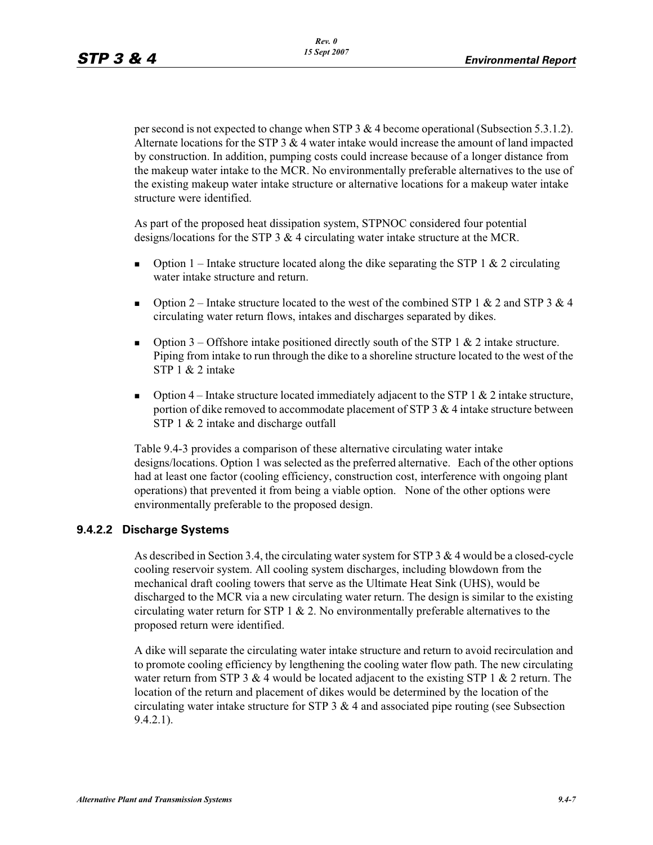per second is not expected to change when STP 3 & 4 become operational (Subsection 5.3.1.2). Alternate locations for the STP 3  $\&$  4 water intake would increase the amount of land impacted by construction. In addition, pumping costs could increase because of a longer distance from the makeup water intake to the MCR. No environmentally preferable alternatives to the use of the existing makeup water intake structure or alternative locations for a makeup water intake structure were identified.

As part of the proposed heat dissipation system, STPNOC considered four potential designs/locations for the STP 3 & 4 circulating water intake structure at the MCR.

- -Option 1 – Intake structure located along the dike separating the STP 1  $\&$  2 circulating water intake structure and return.
- -Option 2 – Intake structure located to the west of the combined STP 1 & 2 and STP 3 & 4 circulating water return flows, intakes and discharges separated by dikes.
- -Option 3 – Offshore intake positioned directly south of the STP 1  $\&$  2 intake structure. Piping from intake to run through the dike to a shoreline structure located to the west of the STP 1 & 2 intake
- -Option  $4$  – Intake structure located immediately adjacent to the STP 1 & 2 intake structure, portion of dike removed to accommodate placement of STP 3 & 4 intake structure between STP 1 & 2 intake and discharge outfall

Table 9.4-3 provides a comparison of these alternative circulating water intake designs/locations. Option 1 was selected as the preferred alternative. Each of the other options had at least one factor (cooling efficiency, construction cost, interference with ongoing plant operations) that prevented it from being a viable option. None of the other options were environmentally preferable to the proposed design.

### **9.4.2.2 Discharge Systems**

As described in Section 3.4, the circulating water system for STP 3  $\&$  4 would be a closed-cycle cooling reservoir system. All cooling system discharges, including blowdown from the mechanical draft cooling towers that serve as the Ultimate Heat Sink (UHS), would be discharged to the MCR via a new circulating water return. The design is similar to the existing circulating water return for STP 1  $\&$  2. No environmentally preferable alternatives to the proposed return were identified.

A dike will separate the circulating water intake structure and return to avoid recirculation and to promote cooling efficiency by lengthening the cooling water flow path. The new circulating water return from STP 3  $&$  4 would be located adjacent to the existing STP 1  $&$  2 return. The location of the return and placement of dikes would be determined by the location of the circulating water intake structure for STP  $3 \& 4$  and associated pipe routing (see Subsection 9.4.2.1).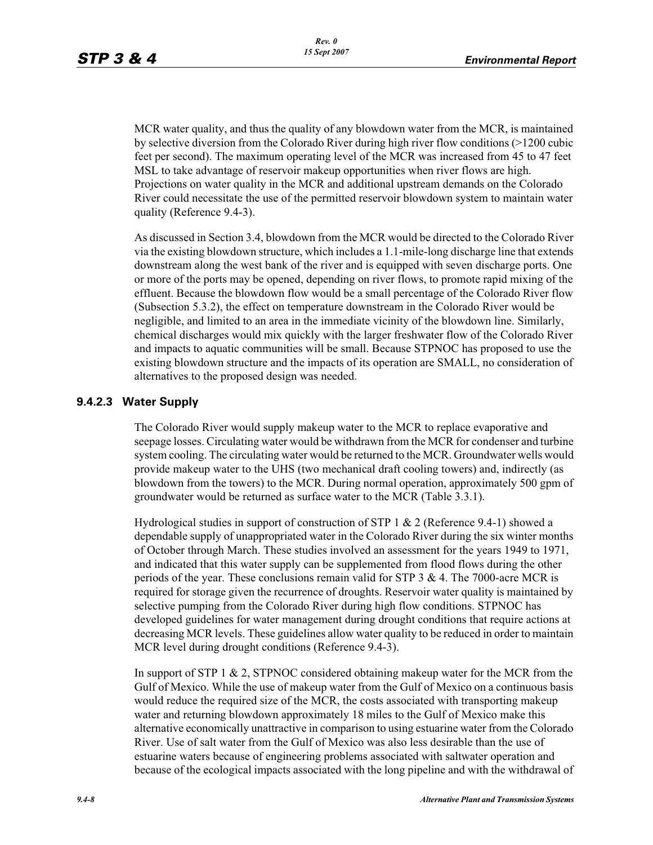MCR water quality, and thus the quality of any blowdown water from the MCR, is maintained by selective diversion from the Colorado River during high river flow conditions (>1200 cubic feet per second). The maximum operating level of the MCR was increased from 45 to 47 feet MSL to take advantage of reservoir makeup opportunities when river flows are high. Projections on water quality in the MCR and additional upstream demands on the Colorado River could necessitate the use of the permitted reservoir blowdown system to maintain water quality (Reference 9.4-3).

As discussed in Section 3.4, blowdown from the MCR would be directed to the Colorado River via the existing blowdown structure, which includes a 1.1-mile-long discharge line that extends downstream along the west bank of the river and is equipped with seven discharge ports. One or more of the ports may be opened, depending on river flows, to promote rapid mixing of the effluent. Because the blowdown flow would be a small percentage of the Colorado River flow (Subsection 5.3.2), the effect on temperature downstream in the Colorado River would be negligible, and limited to an area in the immediate vicinity of the blowdown line. Similarly, chemical discharges would mix quickly with the larger freshwater flow of the Colorado River and impacts to aquatic communities will be small. Because STPNOC has proposed to use the existing blowdown structure and the impacts of its operation are SMALL, no consideration of alternatives to the proposed design was needed.

### **9.4.2.3 Water Supply**

The Colorado River would supply makeup water to the MCR to replace evaporative and seepage losses. Circulating water would be withdrawn from the MCR for condenser and turbine system cooling. The circulating water would be returned to the MCR. Groundwater wells would provide makeup water to the UHS (two mechanical draft cooling towers) and, indirectly (as blowdown from the towers) to the MCR. During normal operation, approximately 500 gpm of groundwater would be returned as surface water to the MCR (Table 3.3.1).

Hydrological studies in support of construction of STP 1 & 2 (Reference 9.4-1) showed a dependable supply of unappropriated water in the Colorado River during the six winter months of October through March. These studies involved an assessment for the years 1949 to 1971, and indicated that this water supply can be supplemented from flood flows during the other periods of the year. These conclusions remain valid for STP  $3 \& 4$ . The 7000-acre MCR is required for storage given the recurrence of droughts. Reservoir water quality is maintained by selective pumping from the Colorado River during high flow conditions. STPNOC has developed guidelines for water management during drought conditions that require actions at decreasing MCR levels. These guidelines allow water quality to be reduced in order to maintain MCR level during drought conditions (Reference 9.4-3).

In support of STP 1 & 2, STPNOC considered obtaining makeup water for the MCR from the Gulf of Mexico. While the use of makeup water from the Gulf of Mexico on a continuous basis would reduce the required size of the MCR, the costs associated with transporting makeup water and returning blowdown approximately 18 miles to the Gulf of Mexico make this alternative economically unattractive in comparison to using estuarine water from the Colorado River. Use of salt water from the Gulf of Mexico was also less desirable than the use of estuarine waters because of engineering problems associated with saltwater operation and because of the ecological impacts associated with the long pipeline and with the withdrawal of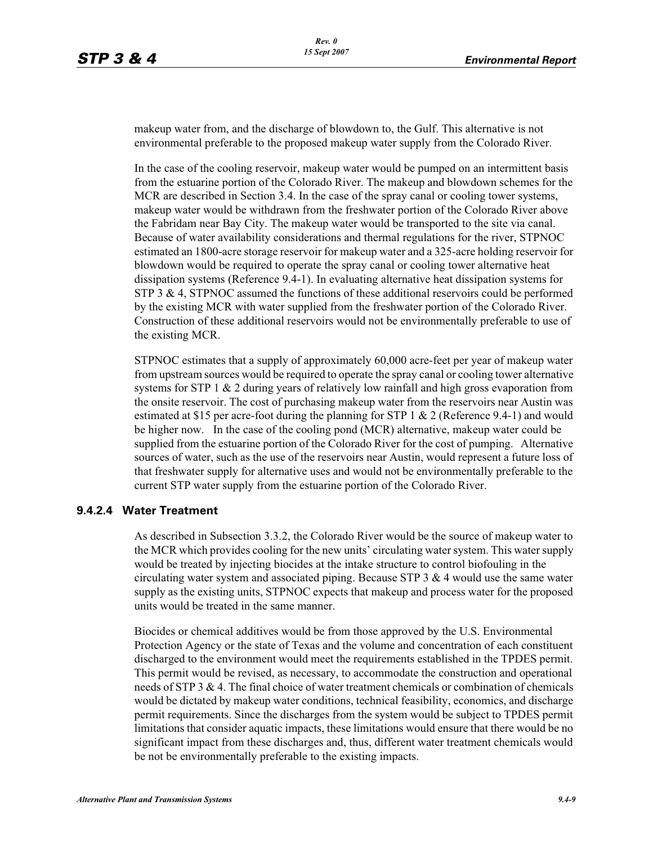makeup water from, and the discharge of blowdown to, the Gulf. This alternative is not environmental preferable to the proposed makeup water supply from the Colorado River.

In the case of the cooling reservoir, makeup water would be pumped on an intermittent basis from the estuarine portion of the Colorado River. The makeup and blowdown schemes for the MCR are described in Section 3.4. In the case of the spray canal or cooling tower systems, makeup water would be withdrawn from the freshwater portion of the Colorado River above the Fabridam near Bay City. The makeup water would be transported to the site via canal. Because of water availability considerations and thermal regulations for the river, STPNOC estimated an 1800-acre storage reservoir for makeup water and a 325-acre holding reservoir for blowdown would be required to operate the spray canal or cooling tower alternative heat dissipation systems (Reference 9.4-1). In evaluating alternative heat dissipation systems for STP 3 & 4, STPNOC assumed the functions of these additional reservoirs could be performed by the existing MCR with water supplied from the freshwater portion of the Colorado River. Construction of these additional reservoirs would not be environmentally preferable to use of the existing MCR.

STPNOC estimates that a supply of approximately 60,000 acre-feet per year of makeup water from upstream sources would be required to operate the spray canal or cooling tower alternative systems for STP 1  $\&$  2 during years of relatively low rainfall and high gross evaporation from the onsite reservoir. The cost of purchasing makeup water from the reservoirs near Austin was estimated at \$15 per acre-foot during the planning for STP 1 & 2 (Reference 9.4-1) and would be higher now. In the case of the cooling pond (MCR) alternative, makeup water could be supplied from the estuarine portion of the Colorado River for the cost of pumping. Alternative sources of water, such as the use of the reservoirs near Austin, would represent a future loss of that freshwater supply for alternative uses and would not be environmentally preferable to the current STP water supply from the estuarine portion of the Colorado River.

### **9.4.2.4 Water Treatment**

As described in Subsection 3.3.2, the Colorado River would be the source of makeup water to the MCR which provides cooling for the new units' circulating water system. This water supply would be treated by injecting biocides at the intake structure to control biofouling in the circulating water system and associated piping. Because STP  $3 \& 4$  would use the same water supply as the existing units, STPNOC expects that makeup and process water for the proposed units would be treated in the same manner.

Biocides or chemical additives would be from those approved by the U.S. Environmental Protection Agency or the state of Texas and the volume and concentration of each constituent discharged to the environment would meet the requirements established in the TPDES permit. This permit would be revised, as necessary, to accommodate the construction and operational needs of STP 3 & 4. The final choice of water treatment chemicals or combination of chemicals would be dictated by makeup water conditions, technical feasibility, economics, and discharge permit requirements. Since the discharges from the system would be subject to TPDES permit limitations that consider aquatic impacts, these limitations would ensure that there would be no significant impact from these discharges and, thus, different water treatment chemicals would be not be environmentally preferable to the existing impacts.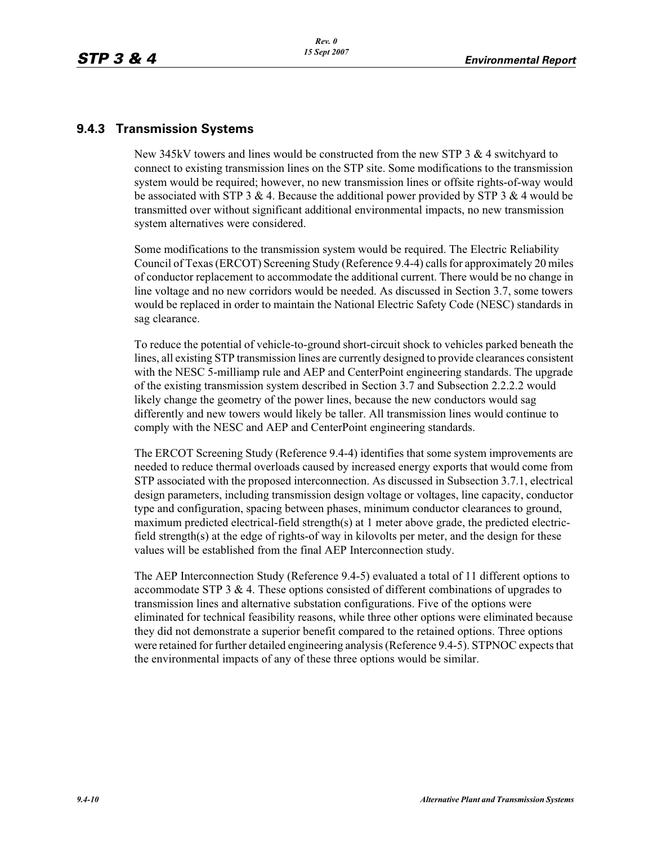### **9.4.3 Transmission Systems**

New 345kV towers and lines would be constructed from the new STP 3  $\&$  4 switchyard to connect to existing transmission lines on the STP site. Some modifications to the transmission system would be required; however, no new transmission lines or offsite rights-of-way would be associated with STP 3 & 4. Because the additional power provided by STP 3 & 4 would be transmitted over without significant additional environmental impacts, no new transmission system alternatives were considered.

Some modifications to the transmission system would be required. The Electric Reliability Council of Texas (ERCOT) Screening Study (Reference 9.4-4) calls for approximately 20 miles of conductor replacement to accommodate the additional current. There would be no change in line voltage and no new corridors would be needed. As discussed in Section 3.7, some towers would be replaced in order to maintain the National Electric Safety Code (NESC) standards in sag clearance.

To reduce the potential of vehicle-to-ground short-circuit shock to vehicles parked beneath the lines, all existing STP transmission lines are currently designed to provide clearances consistent with the NESC 5-milliamp rule and AEP and CenterPoint engineering standards. The upgrade of the existing transmission system described in Section 3.7 and Subsection 2.2.2.2 would likely change the geometry of the power lines, because the new conductors would sag differently and new towers would likely be taller. All transmission lines would continue to comply with the NESC and AEP and CenterPoint engineering standards.

The ERCOT Screening Study (Reference 9.4-4) identifies that some system improvements are needed to reduce thermal overloads caused by increased energy exports that would come from STP associated with the proposed interconnection. As discussed in Subsection 3.7.1, electrical design parameters, including transmission design voltage or voltages, line capacity, conductor type and configuration, spacing between phases, minimum conductor clearances to ground, maximum predicted electrical-field strength(s) at 1 meter above grade, the predicted electricfield strength(s) at the edge of rights-of way in kilovolts per meter, and the design for these values will be established from the final AEP Interconnection study.

The AEP Interconnection Study (Reference 9.4-5) evaluated a total of 11 different options to accommodate STP 3  $\&$  4. These options consisted of different combinations of upgrades to transmission lines and alternative substation configurations. Five of the options were eliminated for technical feasibility reasons, while three other options were eliminated because they did not demonstrate a superior benefit compared to the retained options. Three options were retained for further detailed engineering analysis (Reference 9.4-5). STPNOC expects that the environmental impacts of any of these three options would be similar.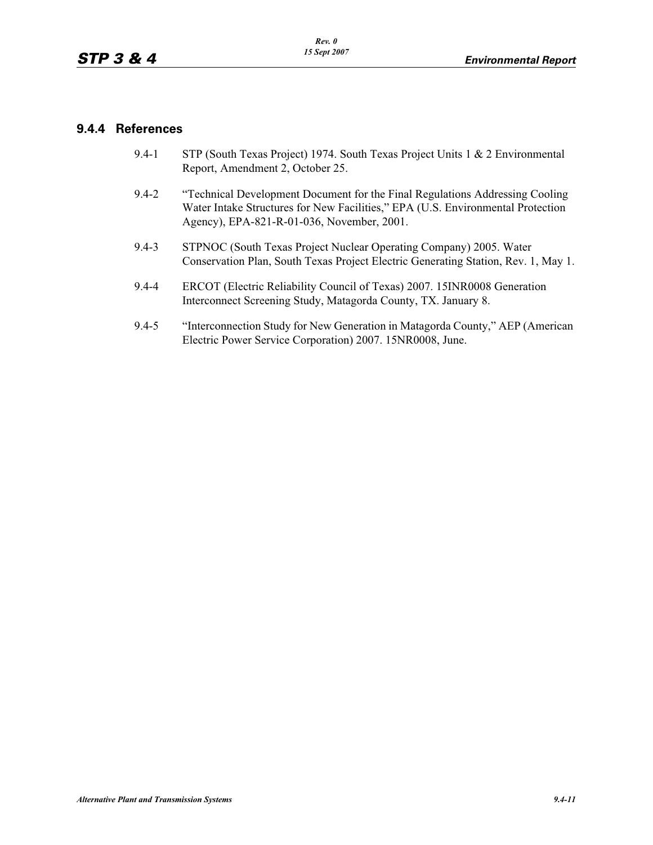### **9.4.4 References**

- 9.4-1 STP (South Texas Project) 1974. South Texas Project Units 1 & 2 Environmental Report, Amendment 2, October 25.
- 9.4-2 "Technical Development Document for the Final Regulations Addressing Cooling Water Intake Structures for New Facilities," EPA (U.S. Environmental Protection Agency), EPA-821-R-01-036, November, 2001.
- 9.4-3 STPNOC (South Texas Project Nuclear Operating Company) 2005. Water Conservation Plan, South Texas Project Electric Generating Station, Rev. 1, May 1.
- 9.4-4 ERCOT (Electric Reliability Council of Texas) 2007. 15INR0008 Generation Interconnect Screening Study, Matagorda County, TX. January 8.
- 9.4-5 "Interconnection Study for New Generation in Matagorda County," AEP (American Electric Power Service Corporation) 2007. 15NR0008, June.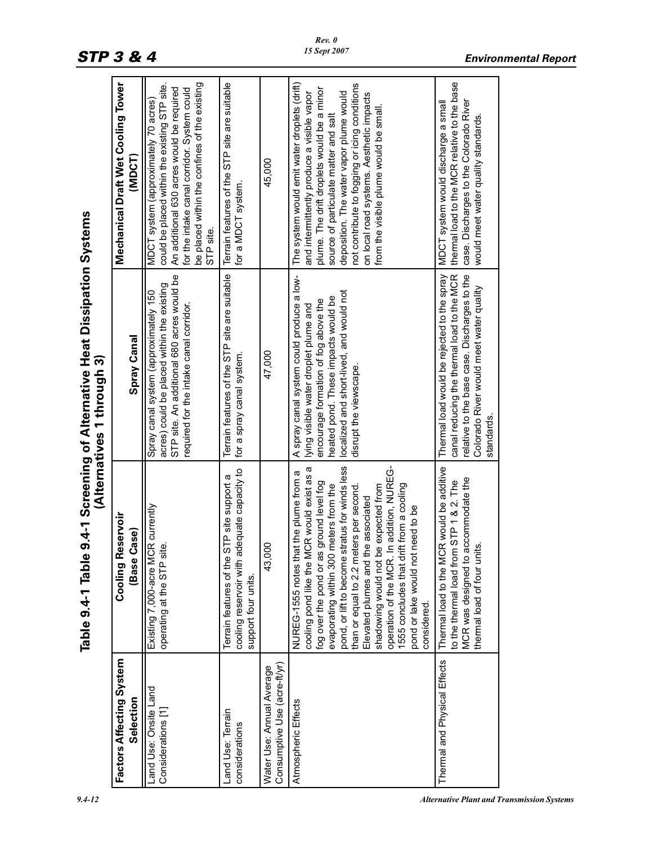|                                                           |                                                                                                                                                                                                                                                                                                                                                                                                                                                                                                       | (Alternatives 1 through 3)                                                                                                                                                                                                             |                                                                                                                                                                                                                                                                                                                                                                     |  |
|-----------------------------------------------------------|-------------------------------------------------------------------------------------------------------------------------------------------------------------------------------------------------------------------------------------------------------------------------------------------------------------------------------------------------------------------------------------------------------------------------------------------------------------------------------------------------------|----------------------------------------------------------------------------------------------------------------------------------------------------------------------------------------------------------------------------------------|---------------------------------------------------------------------------------------------------------------------------------------------------------------------------------------------------------------------------------------------------------------------------------------------------------------------------------------------------------------------|--|
| Factors Affecting System<br>Selection                     | <b>Cooling Reservoir</b><br>;ase)<br>Base C                                                                                                                                                                                                                                                                                                                                                                                                                                                           | Spray Canal                                                                                                                                                                                                                            | Mechanical Draft Wet Cooling Tower<br><b>ISOMD</b>                                                                                                                                                                                                                                                                                                                  |  |
| Land Use: Onsite Land<br>Considerations [1                | Existing 7,000-acre MCR currently<br><u>نه</u><br>operating at the STP sit                                                                                                                                                                                                                                                                                                                                                                                                                            | STP site. An additional 680 acres would be<br>acres) could be placed within the existing<br>Spray canal system (approximately 150<br>required for the intake canal corridor.                                                           | be placed within the confines of the existing<br>could be placed within the existing STP site.<br>An additional 630 acres would be required<br>for the intake canal corridor. System could<br>MDCT system (approximately 70 acres)<br>STP site.                                                                                                                     |  |
| Land Use: Terrain<br>considerations                       | cooling reservoir with adequate capacity to<br>Terrain features of the STP site support a<br>support four units.                                                                                                                                                                                                                                                                                                                                                                                      | Terrain features of the STP site are suitable<br>for a spray canal system.                                                                                                                                                             | Terrain features of the STP site are suitable<br>for a MDCT system.                                                                                                                                                                                                                                                                                                 |  |
| Consumptive Use (acre-ft/yr)<br>Water Use: Annual Average | 43,000                                                                                                                                                                                                                                                                                                                                                                                                                                                                                                | 47,000                                                                                                                                                                                                                                 | 45,000                                                                                                                                                                                                                                                                                                                                                              |  |
| Atmospheric Effects                                       | pond, or lift to become stratus for winds less<br>operation of the MCR. In addition, NUREG-<br>cooling pond like the MCR would exist as a<br>NUREG-1555 notes that the plume from a<br>fog over the pond or as ground level fog<br>1555 concludes that drift from a cooling<br>evaporating within 300 meters from the<br>shadowing would not be expected from<br>than or equal to 2.2 meters per second.<br>Elevated plumes and the associated<br>need to be<br>pond or lake would not<br>considered. | A spray canal system could produce a low-<br>localized and short-lived, and would not<br>heated pond. These impacts would be<br>encourage formation of fog above the<br>lying visible water droplet plume and<br>disrupt the viewscape | The system would emit water droplets (drift)<br>not contribute to fogging or icing conditions<br>plume. The drift droplets would be a minor<br>and intermittently produce a visible vapor<br>deposition. The water vapor plume would<br>on local road systems. Aesthetic impacts<br>from the visible plume would be small.<br>source of particulate matter and salt |  |
| Thermal and Physical Effects                              | Thermal load to the MCR would be additive<br>MCR was designed to accommodate the<br>to the thermal load from STP 1 & 2. The<br>thermal load of four units.                                                                                                                                                                                                                                                                                                                                            | canal reducing the thermal load to the MCR<br>Thermal load would be rejected to the spray<br>relative to the base case. Discharges to the<br>Colorado River would meet water quality<br>standards.                                     | thermal load to the MCR relative to the base<br>case. Discharges to the Colorado River<br>MDCT system would discharge a small<br>would meet water quality standards.                                                                                                                                                                                                |  |

# Table 9.4-1 Table 9.4-1 Screening of Alternative Heat Dissipation Systems **Table 9.4-1 Table 9.4-1 Screening of Alternative Heat Dissipation Systems (Alternatives 1 through 3)**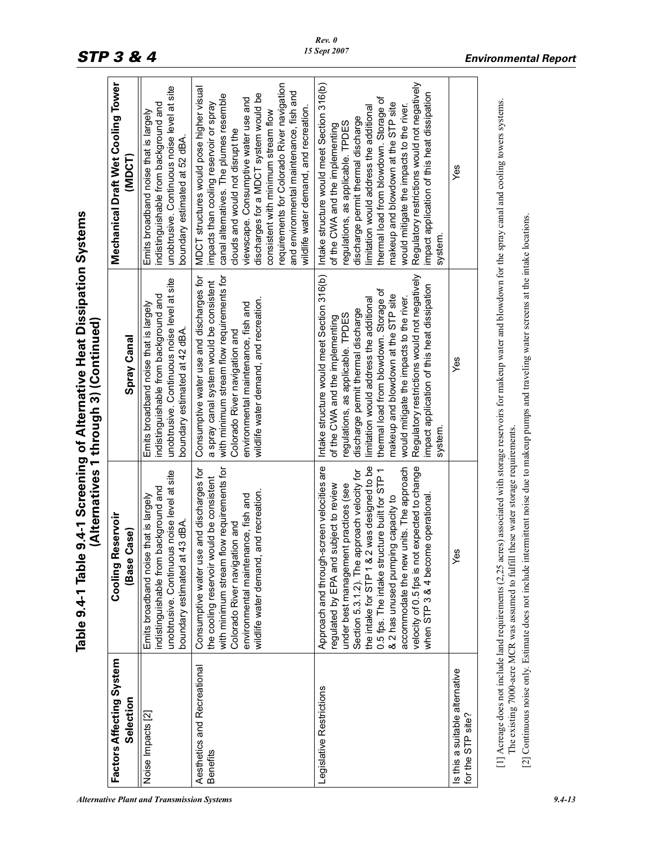| <b>Alternative Plant and Transmission Systems</b> | 9.4-13 |
|---------------------------------------------------|--------|
|---------------------------------------------------|--------|

|                                                     |                                                                                                                                                                                                                                                                                                                                                                                                                                                    | Table 9.4-1 Table 9.4-1 Screening of Alternative Heat Dissipation Systems<br>(Alternatives 1 through 3) (Continued)                                                                                                                                                                                                                                                                                                                       |                                                                                                                                                                                                                                                                                                                                                                                                                                           |
|-----------------------------------------------------|----------------------------------------------------------------------------------------------------------------------------------------------------------------------------------------------------------------------------------------------------------------------------------------------------------------------------------------------------------------------------------------------------------------------------------------------------|-------------------------------------------------------------------------------------------------------------------------------------------------------------------------------------------------------------------------------------------------------------------------------------------------------------------------------------------------------------------------------------------------------------------------------------------|-------------------------------------------------------------------------------------------------------------------------------------------------------------------------------------------------------------------------------------------------------------------------------------------------------------------------------------------------------------------------------------------------------------------------------------------|
| Factors Affecting System<br>Selection               | Reservoir<br>Base Case<br>Cooling                                                                                                                                                                                                                                                                                                                                                                                                                  | Spray Canal                                                                                                                                                                                                                                                                                                                                                                                                                               | Mechanical Draft Wet Cooling Tower<br>(MDCT)                                                                                                                                                                                                                                                                                                                                                                                              |
| Noise Impacts [2]                                   | unobtrusive. Continuous noise level at site<br>ndistinguishable from background and<br>Emits broadband noise that is largely<br>boundary estimated at 43 dBA.                                                                                                                                                                                                                                                                                      | unobtrusive. Continuous noise level at site<br>indistinguishable from background and<br>Emits broadband noise that is largely<br>boundary estimated at 42 dBA.                                                                                                                                                                                                                                                                            | unobtrusive. Continuous noise level at site<br>indistinguishable from background and<br>Emits broadband noise that is largely<br>boundary estimated at 52 dBA.                                                                                                                                                                                                                                                                            |
| Aesthetics and Recreational<br><b>Benefits</b>      | with minimum stream flow requirements for<br>Consumptive water use and discharges for<br>the cooling reservoir would be consistent<br>wildlife water demand, and recreation<br>environmental maintenance, fish and<br>Colorado River navigation and                                                                                                                                                                                                | with minimum stream flow requirements for<br>Consumptive water use and discharges for<br>a spray canal system would be consistent<br>wildlife water demand, and recreation<br>environmental maintenance, fish and<br>Colorado River navigation and                                                                                                                                                                                        | requirements for Colorado River navigation<br>MDCT structures would pose higher visual<br>and environmental maintenance, fish and<br>discharges for a MDCT system would be<br>canal alternatives. The plumes resemble<br>viewscape. Consumptive water use and<br>impacts than cooling reservoir or spray<br>wildlife water demand, and recreation<br>consistent with minimum stream flow<br>clouds and would not disrupt the              |
| Legislative Restrictions                            | Approach and through-screen velocities are<br>the intake for STP 1 & 2 was designed to be<br>velocity of 0.5 fps is not expected to change<br>accommodate the new units. The approach<br>0.5 fps. The intake structure built for STP 1<br>Section 5.3.1.2). The approach velocity for<br>regulated by EPA and subject to review<br>under best management practices (see<br>& 2 has unused pumping capacity to<br>when STP 3 & 4 become operational | Intake structure would meet Section 316(b)<br>Regulatory restrictions would not negatively<br>impact application of this heat dissipation<br>thermal load from blowdown. Storage of<br>makeup and blowdown at the STP site<br>would mitigate the impacts to the river.<br>limitation would address the additional<br>discharge permit thermal discharge<br>regulations, as applicable. TPDES<br>of the CWA and the implementing<br>system | Regulatory restrictions would not negatively<br>Intake structure would meet Section 316(b)<br>impact application of this heat dissipation<br>thermal load from blowdown. Storage of<br>makeup and blowdown at the STP site<br>would mitigate the impacts to the river.<br>limitation would address the additional<br>discharge permit thermal discharge<br>regulations, as applicable. TPDES<br>of the CWA and the implementing<br>system |
| Is this a suitable alternative<br>for the STP site? | Yes                                                                                                                                                                                                                                                                                                                                                                                                                                                | Yes                                                                                                                                                                                                                                                                                                                                                                                                                                       | Yes                                                                                                                                                                                                                                                                                                                                                                                                                                       |
|                                                     | [1] Acreage does not include land requirements (2,25 acres) associated with storage reservoirs for makeup water and blowdown for the spray canal and cooling towers systems.<br>[2] Continuous noise only. Estimate does not include intermittent noise due to makeup pumps and traveling water screens at the intake locations.<br>The existing 7000-acre MCR was assumed to fulfill these water storage requirements                             |                                                                                                                                                                                                                                                                                                                                                                                                                                           |                                                                                                                                                                                                                                                                                                                                                                                                                                           |

*Rev. 0 15 Sept 2007*

# *STP 3 & 4 Environmental Report*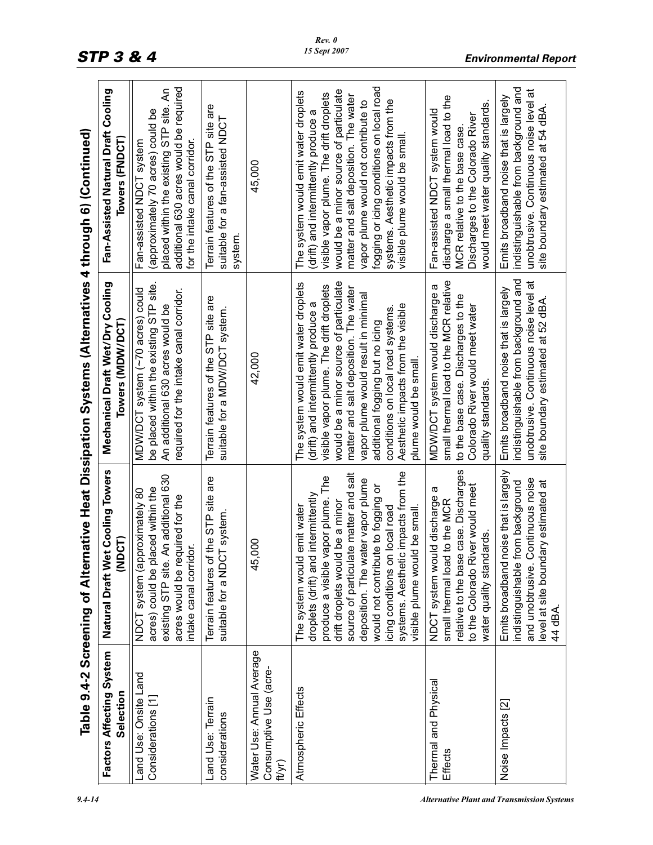|                                                               |                                                                                                                                                                                                                                                                                                                                                                                     | Table 9.4-2 Screening of Alternative Heat Dissipation Systems (Alternatives 4 through 6) (Continued)                                                                                                                                                                                                                                                                                     |                                                                                                                                                                                                                                                                                                                                                                        |
|---------------------------------------------------------------|-------------------------------------------------------------------------------------------------------------------------------------------------------------------------------------------------------------------------------------------------------------------------------------------------------------------------------------------------------------------------------------|------------------------------------------------------------------------------------------------------------------------------------------------------------------------------------------------------------------------------------------------------------------------------------------------------------------------------------------------------------------------------------------|------------------------------------------------------------------------------------------------------------------------------------------------------------------------------------------------------------------------------------------------------------------------------------------------------------------------------------------------------------------------|
| Factors Affecting System<br>Selection                         | Natural Draft Wet Cooling Towers<br><b>DCT)</b><br>₹                                                                                                                                                                                                                                                                                                                                | Mechanical Draft Wet/Dry Cooling<br>Towers (MDW/DCT)                                                                                                                                                                                                                                                                                                                                     | Fan-Assisted Natural Draft Cooling<br>Towers (FNDCT)                                                                                                                                                                                                                                                                                                                   |
| Land Use: Onsite Land<br>Considerations [1]                   | An additional 630<br>acres) could be placed within the<br>NDCT system (approximately 80<br>acres would be required for the<br>intake canal corridor.<br>existing STP site.                                                                                                                                                                                                          | be placed within the existing STP site.<br>MDW/DCT system (~70 acres) could<br>required for the intake canal corridor.<br>An additional 630 acres would be                                                                                                                                                                                                                               | additional 630 acres would be required<br>placed within the existing STP site. An<br>(approximately 70 acres) could be<br>for the intake canal corridor.<br>Fan-assisted NDCT system                                                                                                                                                                                   |
| Land Use: Terrain<br>considerations                           | Terrain features of the STP site are<br>suitable for a NDCT system                                                                                                                                                                                                                                                                                                                  | Terrain features of the STP site are<br>suitable for a MDW/DCT system.                                                                                                                                                                                                                                                                                                                   | Terrain features of the STP site are<br>suitable for a fan-assisted NDCT<br>system                                                                                                                                                                                                                                                                                     |
| Water Use: Annual Average<br>Consumptive Use (acre-<br>ft/yr) | $\infty$<br>45,                                                                                                                                                                                                                                                                                                                                                                     | 42,000                                                                                                                                                                                                                                                                                                                                                                                   | 45,000                                                                                                                                                                                                                                                                                                                                                                 |
| Atmospheric Effects                                           | systems. Aesthetic impacts from the<br>source of particulate matter and salt<br>The<br>deposition. The water vapor plume<br>would not contribute to fogging or<br>droplets (drift) and intermittently<br>produce a visible vapor plume.<br>drift droplets would be a minor<br>emit water<br>icing conditions on local road<br>Id be small.<br>The system would<br>visible plume wou | would be a minor source of particulate<br>The system would emit water droplets<br>visible vapor plume. The drift droplets<br>matter and salt deposition. The water<br>vapor plume would result in minimal<br>(drift) and intermittently produce a<br>Aesthetic impacts from the visible<br>conditions on local road systems.<br>additional fogging but no icing<br>plume would be small. | fogging or icing conditions on local road<br>would be a minor source of particulate<br>The system would emit water droplets<br>visible vapor plume. The drift droplets<br>matter and salt deposition. The water<br>systems. Aesthetic impacts from the<br>vapor plume would not contribute to<br>(drift) and intermittently produce a<br>visible plume would be small. |
| Thermal and Physical<br><b>Effects</b>                        | relative to the base case. Discharges<br>iver would meet<br>ω<br>NDCT system would discharge<br>small thermal load to the MCR<br>water quality standards.<br>to the Colorado R                                                                                                                                                                                                      | small thermal load to the MCR relative<br>MDW/DCT system would discharge a<br>to the base case. Discharges to the<br>Colorado River would meet water<br>quality standards.                                                                                                                                                                                                               | discharge a small thermal load to the<br>would meet water quality standards.<br>Fan-assisted NDCT system would<br>Discharges to the Colorado River<br>MCR relative to the base case                                                                                                                                                                                    |
| Noise Impacts [2]                                             | noise that is largely<br>Continuous noise<br>level at site boundary estimated at<br>rom background<br>Emits broadband<br>and unobtrusive.<br>indistinguishable<br>44 dBA.                                                                                                                                                                                                           | indistinguishable from background and<br>unobtrusive. Continuous noise level at<br>Emits broadband noise that is largely<br>site boundary estimated at 52 dBA.                                                                                                                                                                                                                           | indistinguishable from background and<br>unobtrusive. Continuous noise level at<br>Emits broadband noise that is largely<br>site boundary estimated at 54 dBA.                                                                                                                                                                                                         |

*Rev. 0 15 Sept 2007*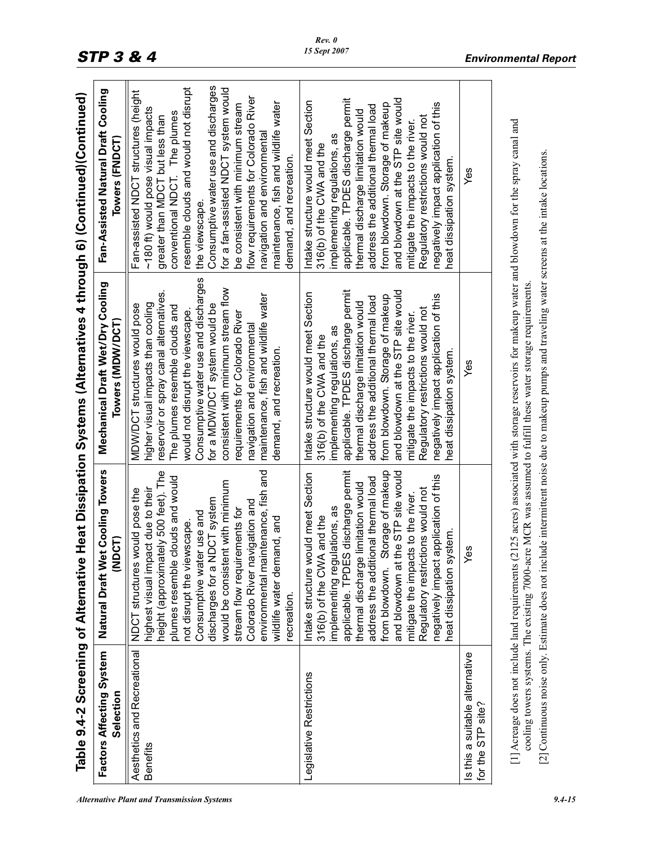|                                                       |                                                                                                                                                                                                                                                                                                                                                                                                                                                       | Table 9.4-2 Screening of Alternative Heat Dissipation Systems (Alternatives 4 through 6) (Continued)(Continued)                                                                                                                                                                                                                                                                                                                              |                                                                                                                                                                                                                                                                                                                                                                                                                                                                           |
|-------------------------------------------------------|-------------------------------------------------------------------------------------------------------------------------------------------------------------------------------------------------------------------------------------------------------------------------------------------------------------------------------------------------------------------------------------------------------------------------------------------------------|----------------------------------------------------------------------------------------------------------------------------------------------------------------------------------------------------------------------------------------------------------------------------------------------------------------------------------------------------------------------------------------------------------------------------------------------|---------------------------------------------------------------------------------------------------------------------------------------------------------------------------------------------------------------------------------------------------------------------------------------------------------------------------------------------------------------------------------------------------------------------------------------------------------------------------|
| Factors Affecting System<br>Selection                 | et Cooling Towers<br>(NDCT)<br>Natural Draft W                                                                                                                                                                                                                                                                                                                                                                                                        | Mechanical Draft Wet/Dry Cooling<br>Towers (MDW/DCT                                                                                                                                                                                                                                                                                                                                                                                          | Fan-Assisted Natural Draft Cooling<br>Towers (FNDCT)                                                                                                                                                                                                                                                                                                                                                                                                                      |
| Aesthetics and Recreational<br>Benefits               | environmental maintenance, fish and<br>height (approximately 500 feet). The<br>plumes resemble clouds and would<br>would be consistent with minimum<br>highest visual impact due to their<br>NDCT structures would pose the<br>NDCT system<br>Colorado River navigation and<br>stream flow requirements for<br>Consumptive water use and<br>wildlife water demand, and<br>not disrupt the viewscape.<br>discharges for a<br>recreation.               | Consumptive water use and discharges<br>consistent with minimum stream flow<br>reservoir or spray canal alternatives.<br>maintenance, fish and wildlife water<br>higher visual impacts than cooling<br>MDW/DCT structures would pose<br>for a MDW/DCT system would be<br>The plumes resemble clouds and<br>would not disrupt the viewscape.<br>requirements for Colorado River<br>navigation and environmental<br>demand, and recreation.    | Consumptive water use and discharges<br>resemble clouds and would not disrupt<br>for a fan-assisted NDCT system would<br>Fan-assisted NDCT structures (height<br>flow requirements for Colorado River<br>maintenance, fish and wildlife water<br>be consistent with minimum stream<br>~180 ft) would pose visual impacts<br>conventional NDCT. The plumes<br>greater than MDCT but less than<br>navigation and environmental<br>demand, and recreation.<br>the viewscape. |
| Legislative Restrictions                              | Storage of makeup<br>applicable. TPDES discharge permit<br>the STP site would<br>Intake structure would meet Section<br>application of this<br>address the additional thermal load<br>thermal discharge limitation would<br>Regulatory restrictions would not<br>mitigate the impacts to the river.<br>implementing regulations, as<br>316(b) of the CWA and the<br>heat dissipation system<br>negatively impact<br>and blowdown at<br>from blowdown. | applicable. TPDES discharge permit<br>and blowdown at the STP site would<br>Intake structure would meet Section<br>negatively impact application of this<br>from blowdown. Storage of makeup<br>address the additional thermal load<br>thermal discharge limitation would<br>Regulatory restrictions would not<br>mitigate the impacts to the river.<br>implementing regulations, as<br>316(b) of the CWA and the<br>heat dissipation system | applicable. TPDES discharge permit<br>and blowdown at the STP site would<br>Intake structure would meet Section<br>from blowdown. Storage of makeup<br>negatively impact application of this<br>address the additional thermal load<br>thermal discharge limitation would<br>Regulatory restrictions would not<br>mitigate the impacts to the river.<br>implementing regulations, as<br>316(b) of the CWA and the<br>heat dissipation system                              |
| s this a suitable alternative<br>site?<br>for the STP | @                                                                                                                                                                                                                                                                                                                                                                                                                                                     | Yes                                                                                                                                                                                                                                                                                                                                                                                                                                          | Yes                                                                                                                                                                                                                                                                                                                                                                                                                                                                       |
|                                                       | cooling towers systems. The existing 7000-acre MCR was assumed to fulfill these water storage requirements.                                                                                                                                                                                                                                                                                                                                           | [1] Acreage does not include land requirements (2125 acres) associated with storage reservoirs for makeup water and blowdown for the spray canal and<br>[2] Continuous noise only. Estimate does not include intermittent noise due to makeup pumps and traveling water screens at the intake locations.                                                                                                                                     |                                                                                                                                                                                                                                                                                                                                                                                                                                                                           |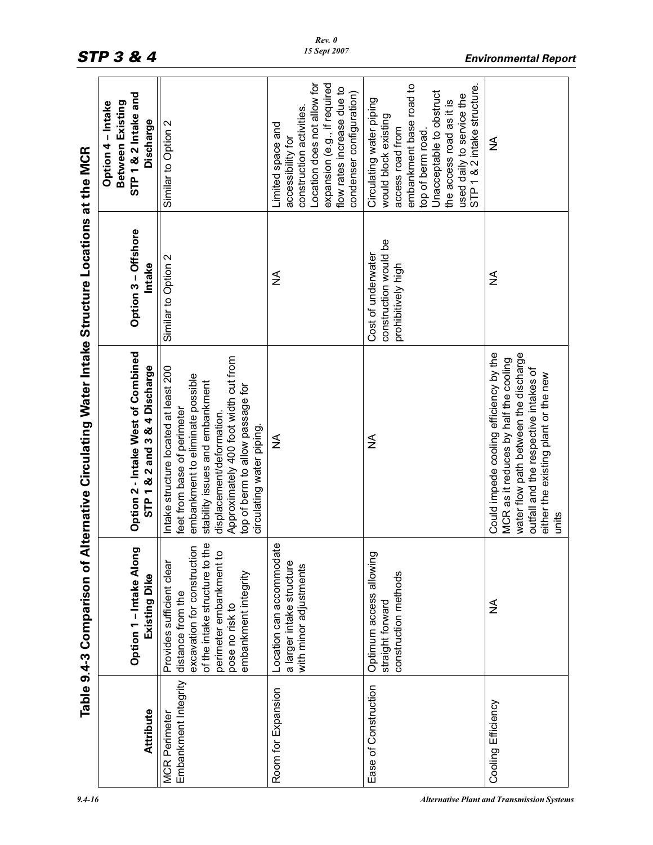|                                              | Table 9.4-3 Comparison of                                                                                                                                                                 | Alternative Circulating Water Intake Structure Locations at the MCR                                                                                                                                                                                                                |                                                                   |                                                                                                                                                                                                                                          |
|----------------------------------------------|-------------------------------------------------------------------------------------------------------------------------------------------------------------------------------------------|------------------------------------------------------------------------------------------------------------------------------------------------------------------------------------------------------------------------------------------------------------------------------------|-------------------------------------------------------------------|------------------------------------------------------------------------------------------------------------------------------------------------------------------------------------------------------------------------------------------|
| Attribute                                    | פ<br>Option 1 - Intake Alon<br>Existing Dike                                                                                                                                              | Option 2 - Intake West of Combined<br>STP 1 & 2 and 3 & 4 Discharge                                                                                                                                                                                                                | Option 3 - Offshore<br>Intake                                     | STP 1 & 2 Intake and<br>Between Existing<br>Option 4 - Intake<br>Discharge                                                                                                                                                               |
| Embankment Integrity<br><b>MCR</b> Perimeter | eq<br>excavation for construction<br>perimeter embankment to<br>of the intake structure to t<br>Provides sufficient clear<br>embankment integrity<br>distance from the<br>pose no risk to | Approximately 400 foot width cut from<br>Intake structure located at least 200<br>embankment to eliminate possible<br>stability issues and embankment<br>top of berm to allow passage for<br>feet from base of perimeter<br>displacement/deformation.<br>circulating water piping. | Similar to Option 2                                               | Similar to Option 2                                                                                                                                                                                                                      |
| Room for Expansion                           | Location can accommodate<br>a larger intake structure<br>with minor adjustments                                                                                                           | ≨                                                                                                                                                                                                                                                                                  | $\frac{1}{2}$                                                     | Location does not allow for<br>expansion (e.g., if required<br>flow rates increase due to<br>condenser configuration)<br>construction activities.<br>Limited space and<br>accessibility for                                              |
| Ease of Construction                         | Optimum access allowing<br>construction methods<br>straight forward                                                                                                                       | ≨                                                                                                                                                                                                                                                                                  | construction would be<br>Cost of underwater<br>prohibitively high | embankment base road to<br>STP 1 & 2 intake structure.<br>Unacceptable to obstruct<br>used daily to service the<br>Circulating water piping<br>the access road as it is<br>would block existing<br>access road from<br>top of berm road. |
| Cooling Efficiency                           | ≨                                                                                                                                                                                         | Could impede cooling efficiency by the<br>water flow path between the discharge<br>MCR as it reduces by half the cooling<br>outfall and the respective intakes of<br>either the existing plant or the new<br>units                                                                 | $\frac{1}{2}$                                                     | ≨                                                                                                                                                                                                                                        |

## *STP 3 & 4 Environmental Report*